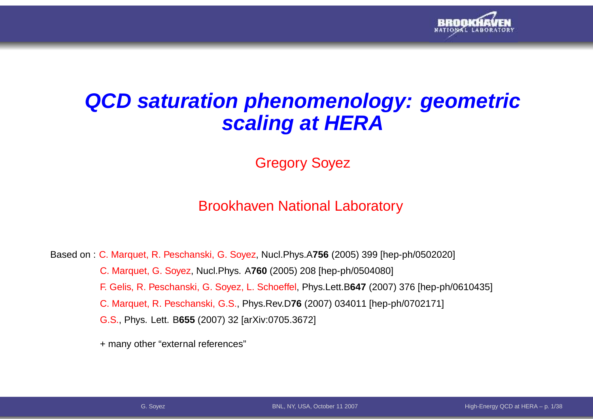

## **QCD saturation phenomenology: geometricscaling at HERA**

Gregory Soyez

### Brookhaven National Laboratory

Based on : C. Marquet, R. Peschanski, G. Soyez, Nucl.Phys.A**756** (2005) <sup>399</sup> [hep-ph/0502020] C. Marquet, G. Soyez, Nucl.Phys. A**760** (2005) <sup>208</sup> [hep-ph/0504080] F. Gelis, R. Peschanski, G. Soyez, L. Schoeffel, Phys.Lett.B**647** (2007) <sup>376</sup> [hep-ph/0610435] C. Marquet, R. Peschanski, G.S., Phys.Rev.D**76** (2007) <sup>034011</sup> [hep-ph/0702171] G.S., Phys. Lett. B**655** (2007) <sup>32</sup> [arXiv:0705.3672]

+ many other "external references"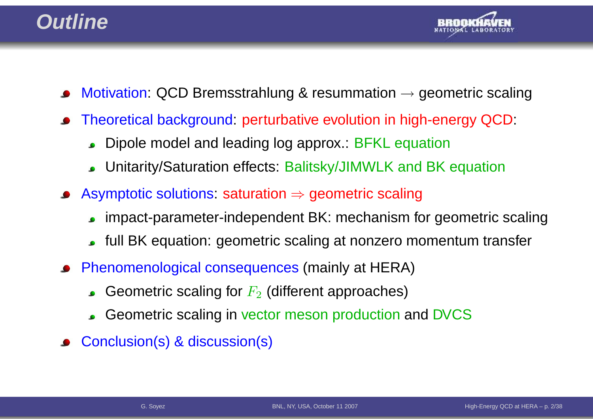### **Outline**



- Motivation: QCD Bremsstrahlung & resummation  $\rightarrow$  geometric scaling
- Theoretical background: perturbative evolution in high-energy QCD:  $\bullet$ 
	- Dipole model and leading log approx.: BFKL equation $\bullet$
	- Unitarity/Saturation effects: Balitsky/JIMWLK and BK equation $\bullet$
- Asymptotic solutions: saturation <sup>⇒</sup> geometric scaling
	- impact-parameter-independent BK: mechanism for geometric scaling
	- full BK equation: geometric scaling at nonzero momentum transfer
- Phenomenological consequences (mainly at HERA)
	- Geometric scaling for  $F_2$  (different approaches)
	- Geometric scaling in vector meson production and DVCS
- Conclusion(s) & discussion(s)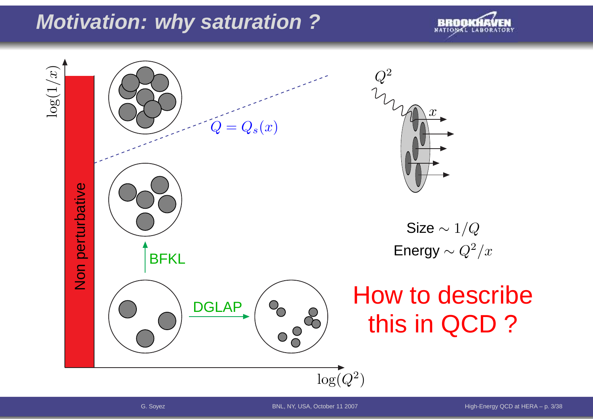# **Motivation: why saturation ?**



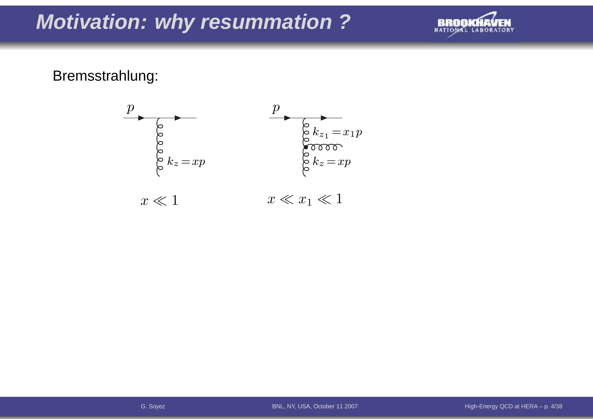# **Motivation: why resummation ?**



### Bremsstrahlung:

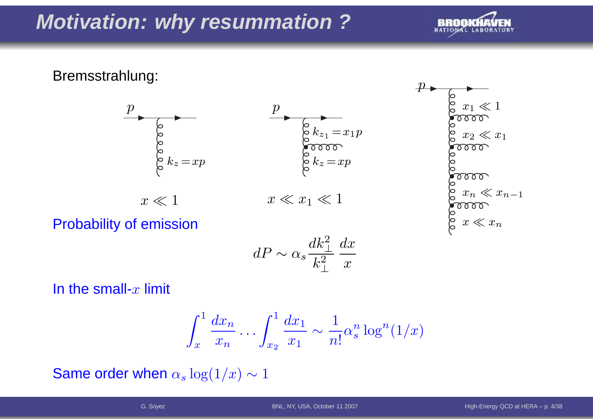# **Motivation: why resummation ?**



≪

 $\ll x$ 

≪ $\mathcal{X}% =\mathbb{R}^{2}\times\mathbb{R}^{2}$  $\, n \,$ 

 $\,n$ 

1

 $\mathcal{X}% =\mathbb{R}^{2}\times\mathbb{R}^{2}$ 

 $x_1$ 

### Bremsstrahlung:



Probability of emission

$$
dP \sim \alpha_s \frac{dk_\perp^2}{k_\perp^2} \frac{dx}{x}
$$

In the small- $x$  limit

$$
\int_x^1 \frac{dx_n}{x_n} \dots \int_{x_2}^1 \frac{dx_1}{x_1} \sim \frac{1}{n!} \alpha_s^n \log^n(1/x)
$$

Same order when  $\alpha_s \log(1/x) \sim 1$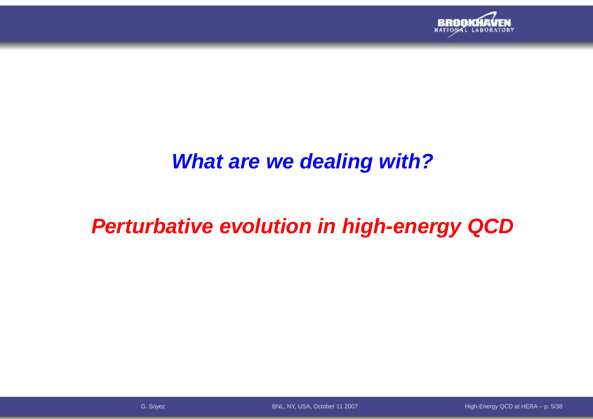

### **What are we dealing with?**

# **Perturbative evolution in high-energy QCD**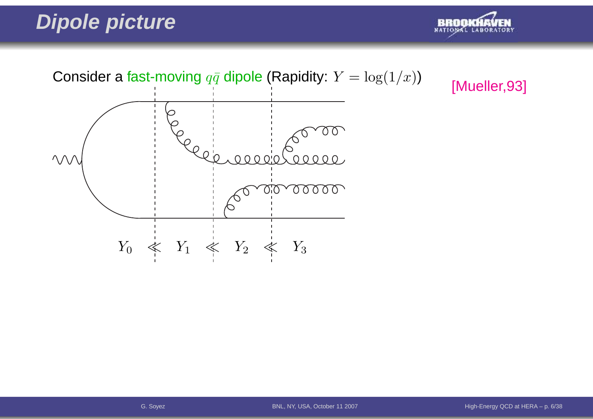# **Dipole picture**



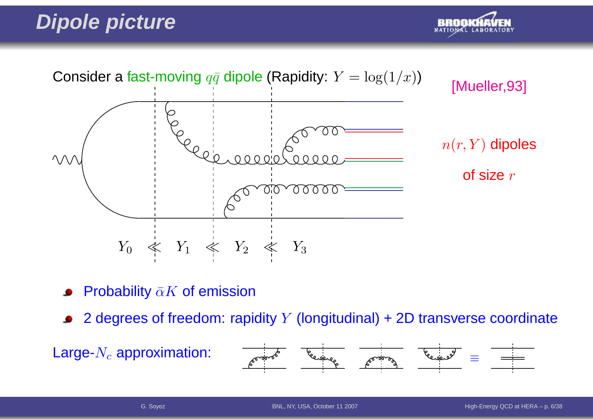# **Dipole picture**





- Probability  $\bar{\alpha}K$  of emission
- 2 degrees of freedom: rapidity  $Y$  (longitudinal) + 2D transverse coordinate

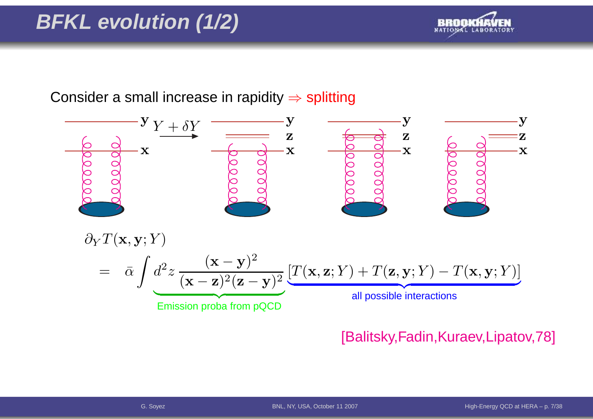# **BFKL evolution (1/2)**



Consider a small increase in rapidity  $\Rightarrow$  splitting



### [Balitsky,Fadin,Kuraev,Lipatov,78]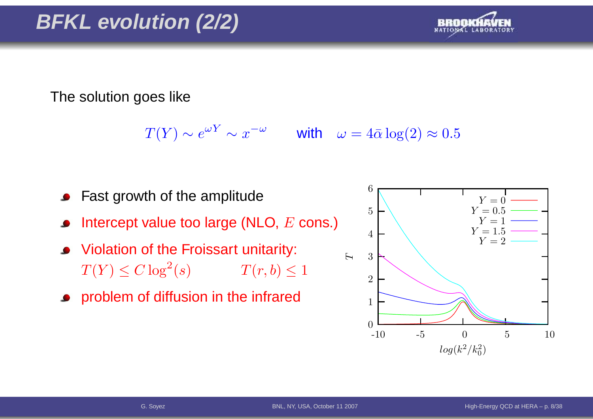

The solution goes like

 $T(Y) \sim e^{\omega Y} \sim x^{-\omega}$  with  $\omega = 4\bar{\alpha} \log(2) \approx 0.5$ 

- Fast growth of the amplitude
- Intercept value too large (NLO,  $E$  cons.)
- Violation of the Froissart unitarity:  $T(Y) \leq C \log^2$  $T(r, b) \leq 1$
- **•** problem of diffusion in the infrared

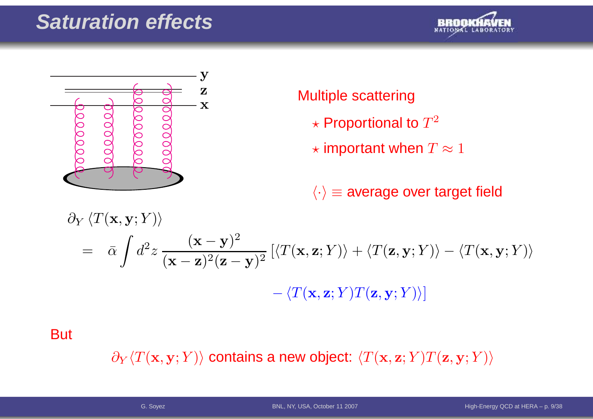# **Saturation effects**





### Multiple scattering

- $\star$  Proportional to  $T^2$
- $\star$  important when  $T\approx 1$

 $\langle \cdot \rangle$   $\equiv$  average over target field

$$
\partial_Y \langle T(\mathbf{x}, \mathbf{y}; Y) \rangle
$$
  
=  $\bar{\alpha} \int d^2 z \frac{(\mathbf{x} - \mathbf{y})^2}{(\mathbf{x} - \mathbf{z})^2 (\mathbf{z} - \mathbf{y})^2} \left[ \langle T(\mathbf{x}, \mathbf{z}; Y) \rangle + \langle T(\mathbf{z}, \mathbf{y}; Y) \rangle - \langle T(\mathbf{x}, \mathbf{y}; Y) \rangle \right]$   
-  $\langle T(\mathbf{x}, \mathbf{z}; Y) T(\mathbf{z}, \mathbf{y}; Y) \rangle$ 

**But** 

 $\partial_Y \langle T(\mathbf{x},\mathbf{y}; Y) \rangle$  contains a new object:  $\langle T(\mathbf{x},\mathbf{z}; Y) T(\mathbf{z},\mathbf{y}; Y) \rangle$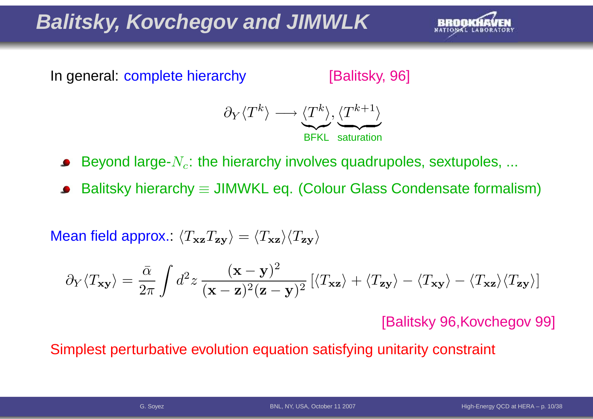# **Balitsky, Kovchegov and JIMWLK**



In general: complete hierarchy

[Balitsky, 96]



Beyond large- $N_c$ : the hierarchy involves quadrupoles, sextupoles, ...

Balitsky hierarchy  $\equiv$  JIMWKL eq. (Colour Glass Condensate formalism)

Mean field approx.:  $\langle T_{\bf xz}T_{\bf zy}\rangle=\langle T_{\bf xz}\rangle\langle T_{\bf zy}\rangle$ 

$$
\partial_Y \langle T_{\mathbf{x} \mathbf{y}} \rangle = \frac{\bar{\alpha}}{2\pi} \int d^2 z \, \frac{(\mathbf{x} - \mathbf{y})^2}{(\mathbf{x} - \mathbf{z})^2 (\mathbf{z} - \mathbf{y})^2} \left[ \langle T_{\mathbf{x} \mathbf{z}} \rangle + \langle T_{\mathbf{z} \mathbf{y}} \rangle - \langle T_{\mathbf{x} \mathbf{z}} \rangle \langle T_{\mathbf{z} \mathbf{y}} \rangle \right]
$$

[Balitsky 96,Kovchegov 99]

Simplest perturbative evolution equation satisfying unitarity constraint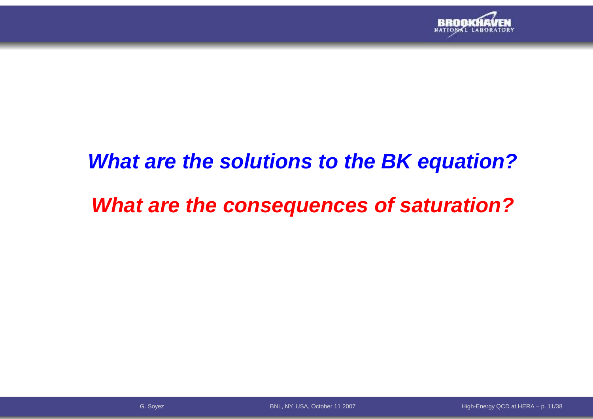

### **What are the solutions to the BK equation?**

# **What are the consequences of saturation?**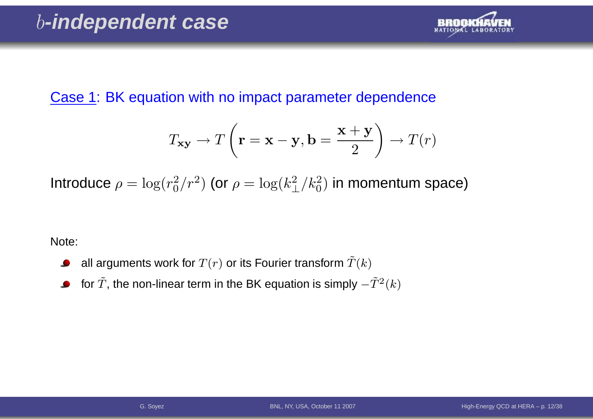

### Case 1: BK equation with no impact parameter dependence

$$
T_{\mathbf{xy}} \to T\left(\mathbf{r} = \mathbf{x} - \mathbf{y}, \mathbf{b} = \frac{\mathbf{x} + \mathbf{y}}{2}\right) \to T(r)
$$

Introduce  $\rho = \log(r_0^2/r^2)$  (or  $\rho = \log(k_\perp^2/k_0^2)$  in momentum space)

Note:

- all arguments work for  $T(r)$  or its Fourier transform  $\tilde T(k)$  $\bullet$
- for  $\tilde{T}$ , the non-linear term in the BK equation is simply  $-\tilde{T}^{2}(k)$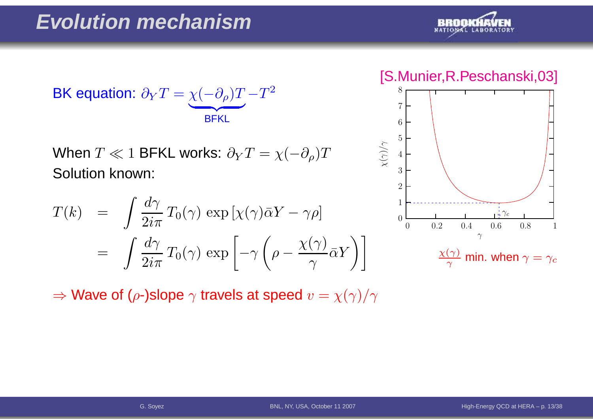

$$
\text{BK equation: } \partial_Y T = \underbrace{\chi(-\partial_\rho) T}_{\text{BFKL}} - T^2
$$

When  $T\ll 1$  BFKL works:  $\partial_{Y}T=\chi($  Solution known:  $\partial_\rho)T$ 

$$
T(k) = \int \frac{d\gamma}{2i\pi} T_0(\gamma) \exp\left[\chi(\gamma)\bar{\alpha}Y - \gamma\rho\right]
$$
  
= 
$$
\int \frac{d\gamma}{2i\pi} T_0(\gamma) \exp\left[-\gamma\left(\rho - \frac{\chi(\gamma)}{\gamma}\bar{\alpha}Y\right)\right]
$$

 $\Rightarrow$  Wave of ( $\rho$ -)slope  $\gamma$  travels at speed  $v=\chi(\gamma)/\gamma$ 

[S.Munier,R.Peschanski,03]

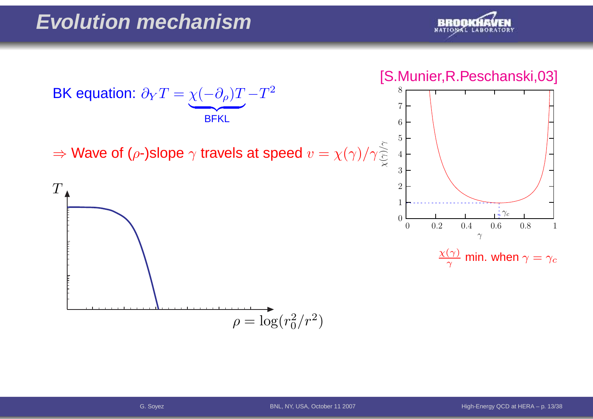



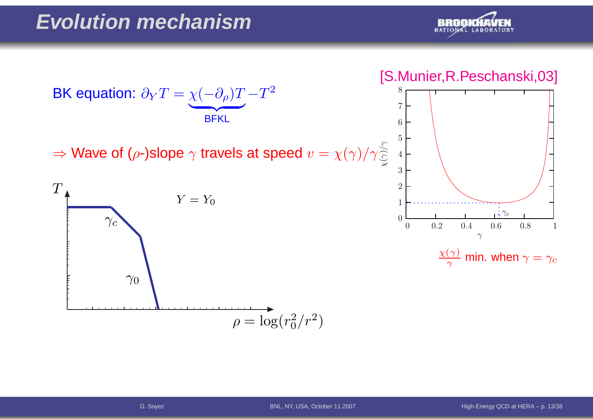



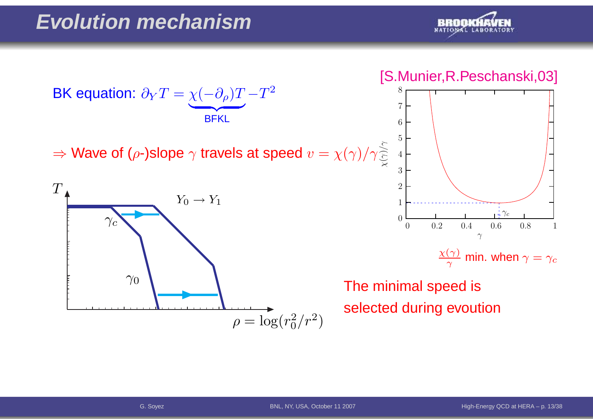

### [S.Munier,R.Peschanski,03]



 $\frac{\chi(\gamma)}{\gamma}$  min. when  $\gamma=\gamma_c$ 

The minimal speed isselected during evoution



 $\Rightarrow$  Wave of ( $\rho$ -)slope  $\gamma$  travels at speed  $v=\chi(\gamma)/\gamma$ 

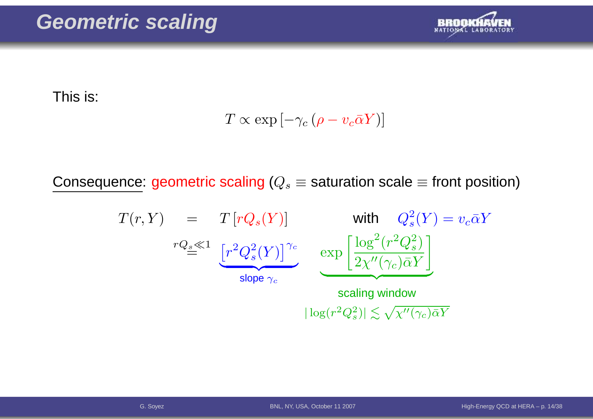

This is:

$$
T \propto \exp\left[-\gamma_c\left(\rho - v_c \bar{\alpha} Y\right)\right]
$$

Consequence: geometric scaling ( $Q_s\equiv$  saturation scale  $\equiv$  front position)

$$
T(r, Y) = T[rQ_s(Y)] \text{ with } Q_s^2(Y) = v_c \bar{\alpha}Y
$$
  

$$
rQ_s \ll 1 \underbrace{[r^2Q_s^2(Y)]^{\gamma_c}}_{\text{slope } \gamma_c} \underbrace{\exp\left[\frac{\log^2(r^2Q_s^2)}{2\chi''(\gamma_c)\bar{\alpha}Y}\right]}_{\text{scaling window}}
$$
  

$$
|\log(r^2Q_s^2)| \lesssim \sqrt{\chi''(\gamma_c)\bar{\alpha}Y}
$$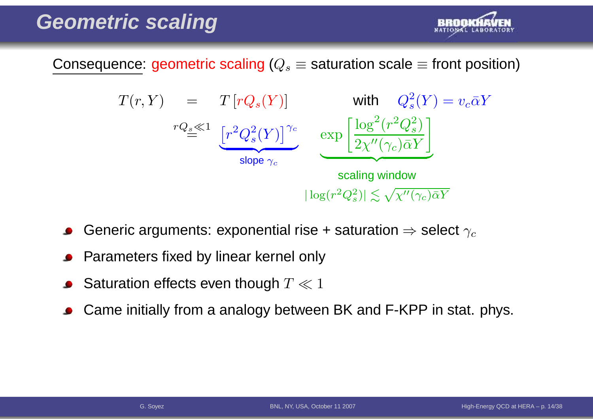

Consequence: geometric scaling ( $Q_s\equiv$  saturation scale  $\equiv$  front position)



- Generic arguments: exponential rise + saturation  $\Rightarrow$  select  $\gamma_c$
- Parameters fixed by linear kernel only
- Saturation effects even though  $T \ll 1$
- Came initially from <sup>a</sup> analogy between BK and F-KPP in stat. phys.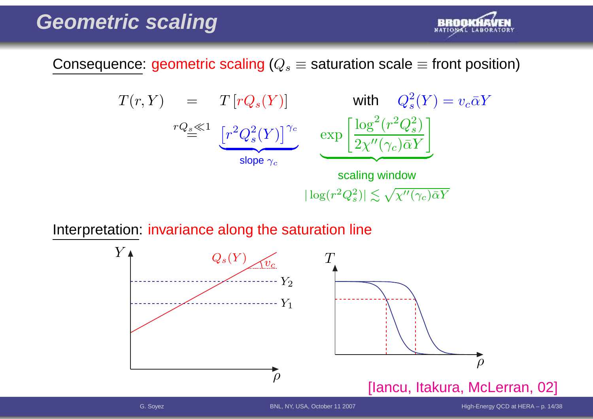

Consequence: geometric scaling ( $Q_s\equiv$  saturation scale  $\equiv$  front position)

$$
T(r, Y) = T[rQ_s(Y)] \text{ with } Q_s^2(Y) = v_c \bar{\alpha}Y
$$
  
\n
$$
rQ_s \ll 1 \underbrace{[r^2Q_s^2(Y)]^{\gamma_c}}_{\text{slope } \gamma_c} \underbrace{\exp\left[\frac{\log^2(r^2Q_s^2)}{2\chi''(\gamma_c)\bar{\alpha}Y}\right]}_{\text{scaling window}}
$$
  
\n
$$
|\log(r^2Q_s^2)| \lesssim \sqrt{\chi''(\gamma_c)\bar{\alpha}Y}
$$

Interpretation: invariance along the saturation line

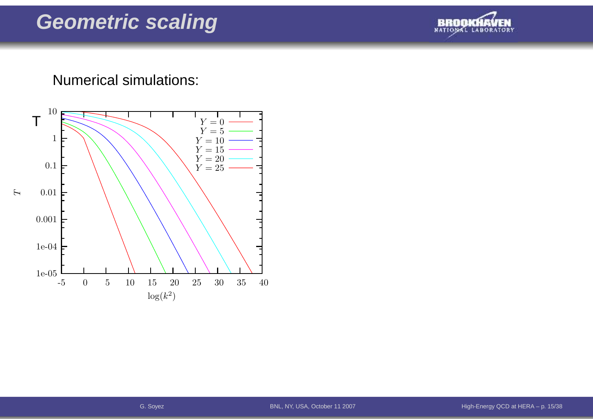

### Numerical simulations:

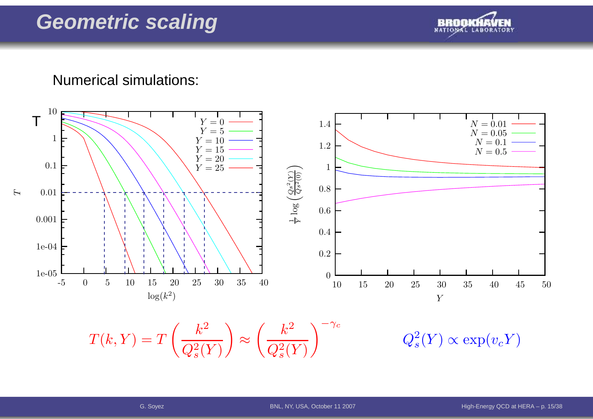

### Numerical simulations:



 $T(k, Y) = T\left(\frac{k^2}{Q_s^2(Y)}\right) \approx \left(\frac{k^2}{Q_s^2(Y)}\right)^{-\gamma_c} \qquad \qquad Q_s^2(Y) \propto \exp(v_c Y)$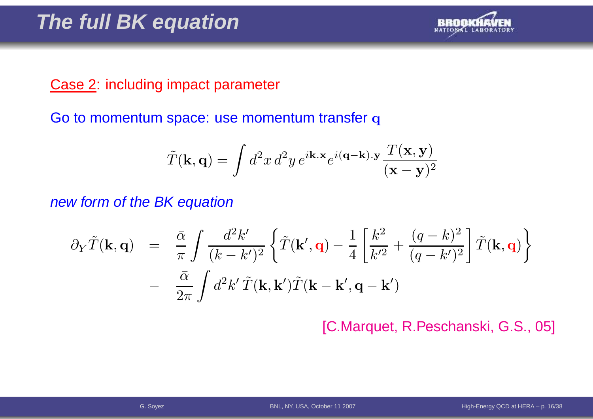

### Case 2: including impact parameter

Go to momentum space: use momentum transfer  ${\bf q}$ 

$$
\tilde{T}(\mathbf{k},\mathbf{q}) = \int d^2x \, d^2y \, e^{i\mathbf{k}.\mathbf{x}} e^{i(\mathbf{q}-\mathbf{k}).\mathbf{y}} \frac{T(\mathbf{x},\mathbf{y})}{(\mathbf{x}-\mathbf{y})^2}
$$

new form of the BK equation

$$
\partial_Y \tilde{T}(\mathbf{k}, \mathbf{q}) = \frac{\bar{\alpha}}{\pi} \int \frac{d^2 k'}{(k - k')^2} \left\{ \tilde{T}(\mathbf{k}', \mathbf{q}) - \frac{1}{4} \left[ \frac{k^2}{k'^2} + \frac{(q - k)^2}{(q - k')^2} \right] \tilde{T}(\mathbf{k}, \mathbf{q}) \right\} - \frac{\bar{\alpha}}{2\pi} \int d^2 k' \tilde{T}(\mathbf{k}, \mathbf{k}') \tilde{T}(\mathbf{k} - \mathbf{k}', \mathbf{q} - \mathbf{k}')
$$

[C.Marquet, R.Peschanski, G.S., 05]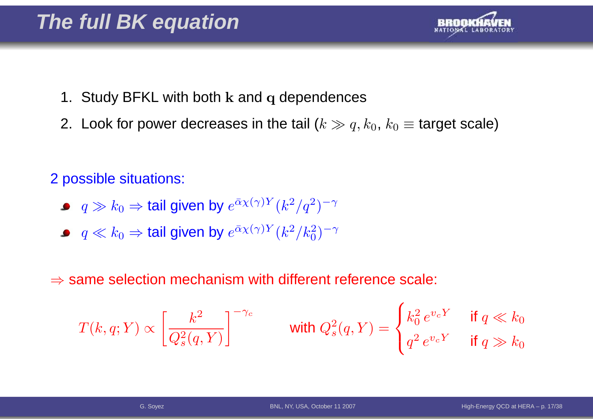

- 1. Study BFKL with both  ${\bf k}$  and  ${\bf q}$  dependences
- 2. Look for power decreases in the tail ( $k \gg q, k_0, \, k_0 \equiv$  target scale)

2 possible situations:

- $q\gg k_0$   $\Rightarrow$  tail given by  $e^{\bar{\alpha}\chi(\gamma)Y}(k^2/q^2)$  $^{2})^{-}$  $\gamma$
- $q \ll k_0 \Rightarrow$  tail given by  $e^{\bar{\alpha}\chi(\gamma)Y}(k^2/k_0^2)$  $\binom{2}{0}$ −γ

 $\Rightarrow$  same selection mechanism with different reference scale:

$$
T(k,q;Y) \propto \left[\frac{k^2}{Q_s^2(q,Y)}\right]^{-\gamma_c}
$$
 with  $Q_s^2(q,Y) = \begin{cases} k_0^2 e^{v_c Y} & \text{if } q \ll k_0 \\ q^2 e^{v_c Y} & \text{if } q \gg k_0 \end{cases}$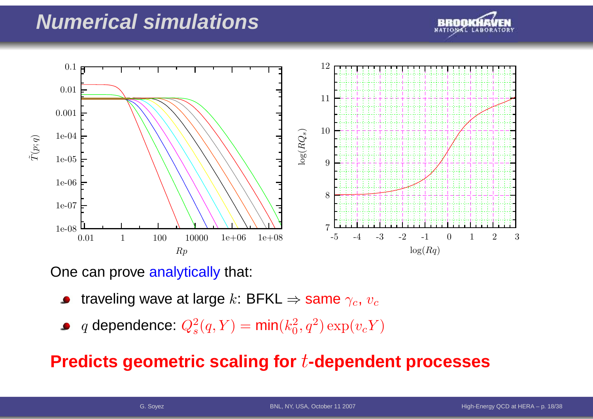## **Numerical simulations**





One can prove <mark>analytically</mark> that:

- traveling wave at large  $k$ : BFKL  $\Rightarrow$  same  $\gamma_c$ ,  $v_c$
- $q$  dependence:  $Q_s^2$  $s^2(q,Y) = \textsf{min}(k_0^2)$  $_0^2, q^2) \exp(v_c Y)$

### **Predicts geometric scaling for**t**-dependent processes**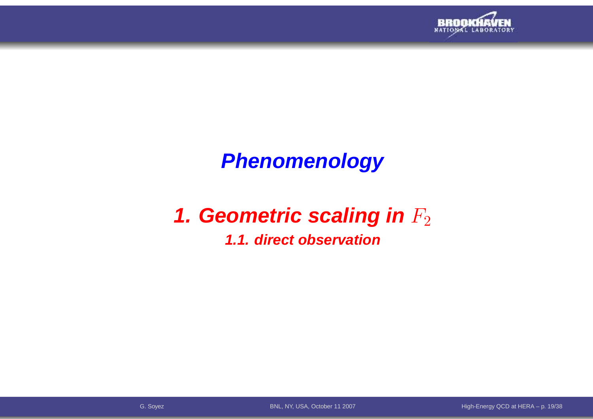

# **Phenomenology**

# **1. Geometric scaling in**  $F_2$

### **1.1. direct observation**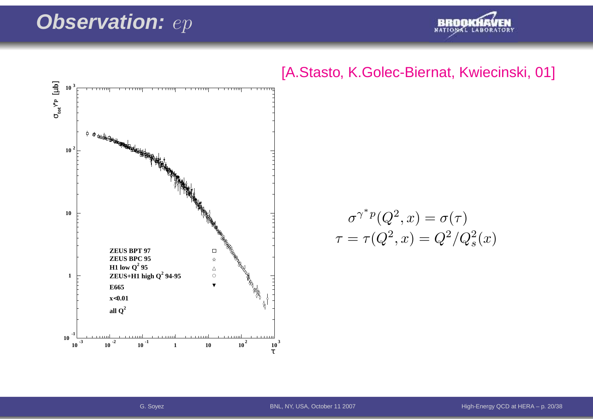### **Observation:**:  $ep$







$$
\sigma^{\gamma^* p}(Q^2, x) = \sigma(\tau)
$$

$$
\tau = \tau(Q^2, x) = Q^2/Q_s^2(x)
$$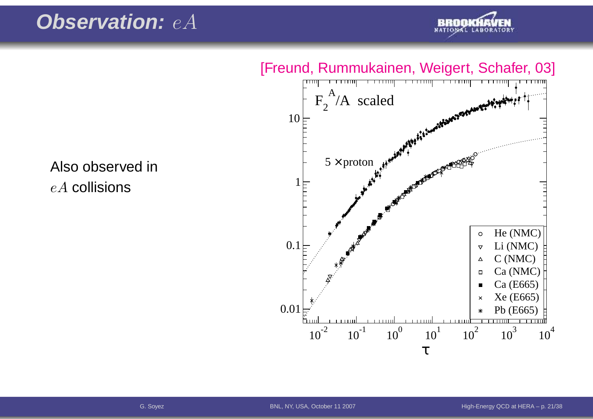# **Observation:** eA



 $F_2^A/A$  scaled 10 $5 \times$  proton 1He (NMC) $\circ$ 0.1 Li (NMC) $\triangledown$  C (NMC) $\Delta$  Ca (NMC) $\Box$  Ca (E665) Xe (E665) $\overline{\mathsf{x}}$ 0.01Pb (E665)ĥ. en mund . . . . . . . . .  $\overline{\phantom{a}}$  $\overline{\phantom{0}}$ 

 $10^{-2}$   $10^{-1}$   $10^{0}$   $10^{1}$   $10^{2}$   $10^{3}$   $10^{4}$ 

τ

Also observed in $eA$  collisions

### [Freund, Rummukainen, Weigert, Schafer, 03]

High-Energy QCD at HERA – p. 21/38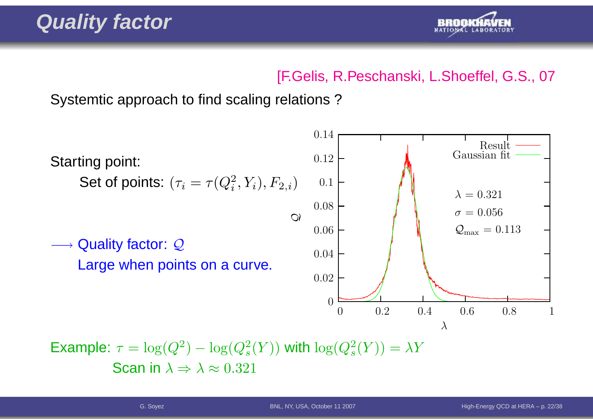

### [F.Gelis, R.Peschanski, L.Shoeffel, G.S., 07

Systemtic approach to find scaling relations ?



Example:  $\tau = \log(Q^2) - \log(Q_s^2(Y))$  with  $\log(Q_s^2(Y)) = \lambda Y$ Scan in  $\lambda \Rightarrow \lambda \approx 0.321$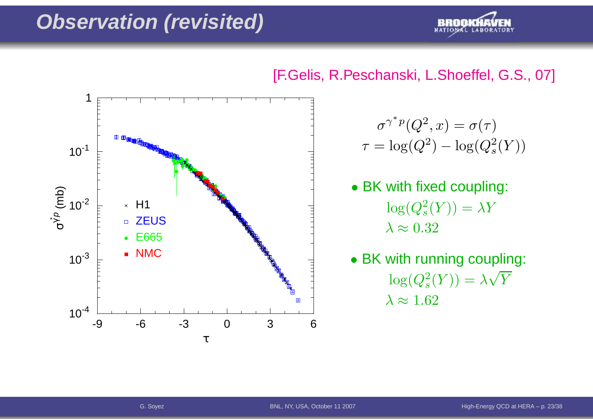### **Observation (revisited)**



### [F.Gelis, R.Peschanski, L.Shoeffel, G.S., 07]



### $\sigma^\gamma$  $1/(2^0)$   $1/(2^1)$ ∗ $\sigma^*{}^p(Q^2,x)=\sigma(\tau)$  $\tau = \log(Q^2$  $^{2})$  $-\log(Q_s^2)$  $\binom{2}{s}(Y)$

- BK with fixed coupling:  $\log(Q_s^2$  $\lambda\approx0.32$  $S^2(S) = \lambda Y$
- BK with running coupling:  $\log(Q_s^2$  $\lambda \approx 1.62$  $\lambda_s^2(Y)) = \lambda \sqrt{Y}$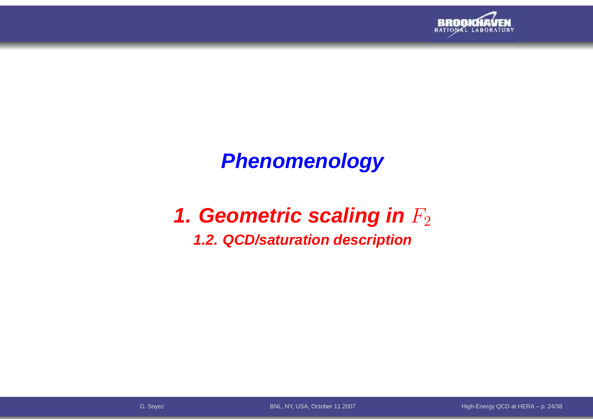

# **Phenomenology**

# **1. Geometric scaling in**  $F_2$

### **1.2. QCD/saturation description**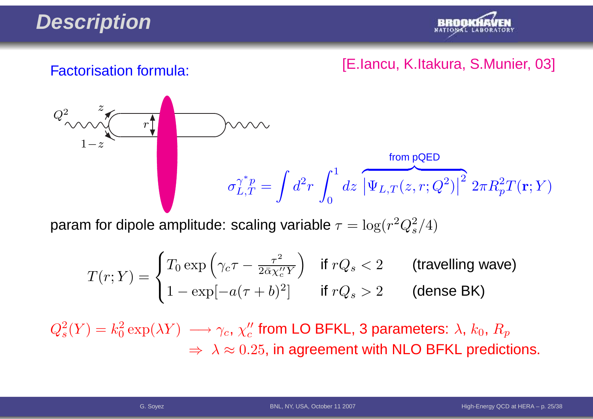# **Description**



### [E.Iancu, K.Itakura, S.Munier, 03] Factorisation formula:

$$
Q_{\text{max}}^2
$$
\n
$$
\sigma_{L,T}^{\gamma^* p} = \int d^2 r \int_0^1 dz \, \left| \Psi_{L,T}(z,r;Q^2) \right|^2 2\pi R_p^2 T(\mathbf{r};Y)
$$

param for dipole amplitude: scaling variable  $\tau = \log(r^2 Q_s^2/4)$ 

$$
T(r;Y) = \begin{cases} T_0 \exp\left(\gamma_c \tau - \frac{\tau^2}{2\bar{\alpha}\chi_c''Y}\right) & \text{if } rQ_s < 2 \\ 1 - \exp[-a(\tau + b)^2] & \text{if } rQ_s > 2 \end{cases} \quad \text{(travelling wave)}
$$

 $Q_s^2(Y) = k_0^2 \exp(\lambda Y) \; \longrightarrow \gamma_c, \, \chi_c''$  from LO BFKL, 3 parameters:  $\lambda, \, k_0, \, R_p$  $\Rightarrow \ \lambda \approx 0.25$ , in agreement with NLO BFKL predictions.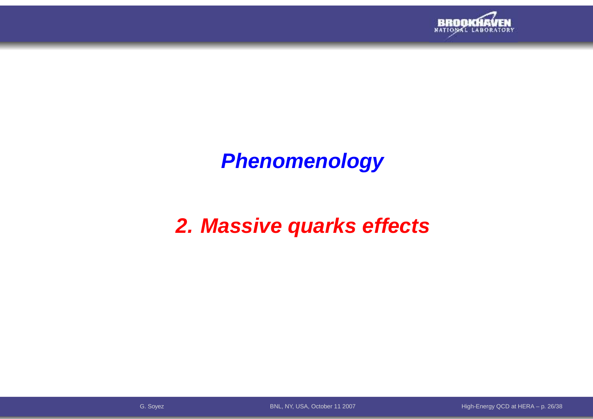

# **Phenomenology**

# **2. Massive quarks effects**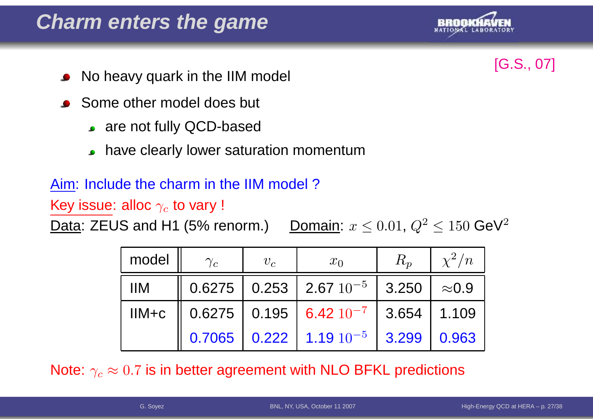## **Charm enters the game**



- [G.S., 07] No heavy quark in the IIM model
- Some other model does but
	- are not fully QCD-based
	- have clearly lower saturation momentum $\bullet$

### Aim: Include the charm in the IIM model ?

Key issue: alloc  $\gamma_c$  to vary !

Data: ZEUS and H1 (5% renorm.)  $\leq 0.01,\,Q^2$  $^2 \le 150$  GeV<sup>2</sup>

| model      | $\gamma_c$ | $v_c$ | $x_0$                                                                                                       | $R_p$ | $\sqrt{2}/n$ |
|------------|------------|-------|-------------------------------------------------------------------------------------------------------------|-------|--------------|
| <b>IIM</b> |            |       | $\parallel$ 0.6275 $\parallel$ 0.253 $\parallel$ 2.67 $10^{-5}$ $\parallel$ 3.250 $\parallel$ $\approx$ 0.9 |       |              |
|            |            |       | IIM+c $\parallel$ 0.6275   0.195   6.42 $10^{-7}$   3.654   1.109                                           |       |              |
|            |            |       | 0.7065 0.222 1.19 $10^{-5}$ 3.299 0.963                                                                     |       |              |

Note:  $\gamma_c\approx0.7$  is in better agreement with NLO BFKL predictions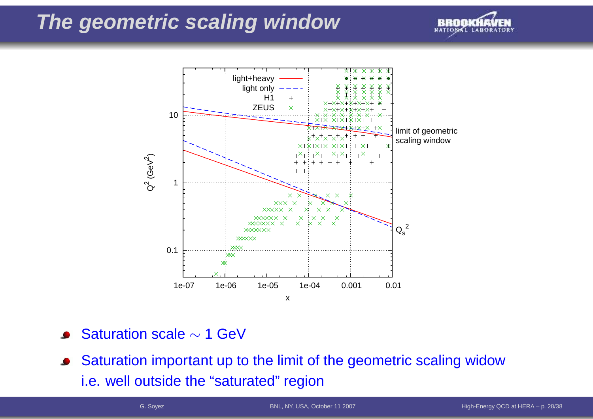### **The geometric scaling window**





- Saturation scale  $\sim$  1 GeV
- Saturation important up to the limit of the geometric scaling widow $\bullet$ i.e. well outside the "saturated" region

BNL, NY, USA, October <sup>11</sup> <sup>2007</sup>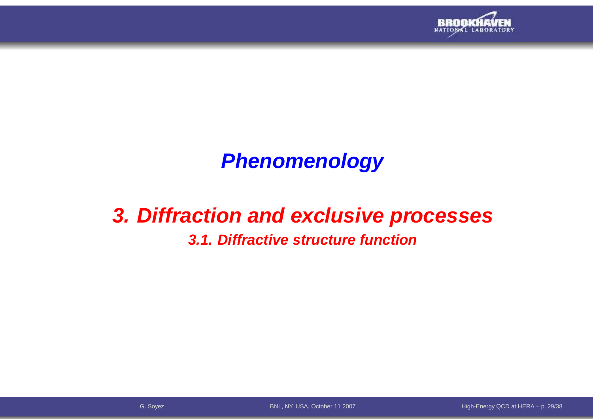

# **Phenomenology**

# **3. Diffraction and exclusive processes**

### **3.1. Diffractive structure function**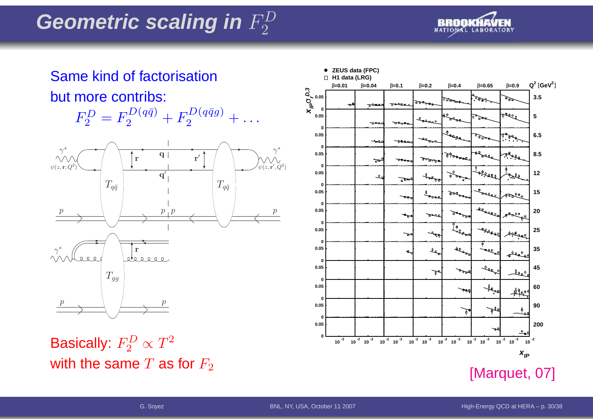

### **ZEUS data (FPC)**Same kind of factorisation**H1 data (LRG)**β**=0.01** β**=0.04** β**=0.1** β**=0.2** β**=0.4** β**=0.65** β**=0.9 D,3** but more contribs: **0.05** σ**r** سرقي يعوب **xIP**  $E_2^{D} = F_2^{D(q \bar q)} + F_2^{D(q \bar q g)} +$ **0**  $F^D_\alpha$ free. **0.05**مقرره . . .  $\mathbf{r}$ ᅲ **0 0.05**حوادي ببرو ودود **0**∗∗ $\gamma$  $\gamma$   $\gamma$   $\gamma$ <sup>Alf</sup>orlea q **0.05**سمعودي r $\mathbf{r}'$ ъ.  $\psi(z,{\bf r};Q^2$  $^{\prime}, Q^2$  $\frac{1}{\sqrt{1-\frac{1}{2}}}\sqrt{1-\frac{1}{2}}$ ))**پرچون په 0.05**╲┺┈  $\mathbf{q}'$  $\frac{1}{\phi} \frac{1}{\phi} \frac{1}{\phi}$ ᅽ F<br>F  $T_{q\bar{q}}$  $\overline{q}$  and  $T_{q\bar{q}}$ **0 0.050Agency 0.05**p $\,p$ ppक्य سمحو **0**ڻو. -exerci **0.05 0.05**r∗γ $\frac{1}{2}$ **0 0.05**ት  $T_{qq}$ **0 0.050**pp **0.050**

Basically:  $F_2^D$ with the same  $T$  as for  $F_2$  $\frac{2}{2}^{D}\propto T^{2}$ 

[Marquet, 07]

10  $\begin{smallmatrix} 3 & 10 \end{smallmatrix}^2$  10  $\begin{smallmatrix} 3 & 10 \end{smallmatrix}^2$  10  $\begin{smallmatrix} 3 & 10 \end{smallmatrix}^2$  10  $\begin{smallmatrix} 3 & 10 \end{smallmatrix}^2$  10  $\begin{smallmatrix} 3 & 10 \end{smallmatrix}$  10  $\begin{smallmatrix} 10 & 3 \end{smallmatrix}$  10  $\begin{smallmatrix} 10 & 3 \end{smallmatrix}$  10  $\begin{smallmatrix} 10 & 3 \end{smallmatrix}$  10  $\begin{smallmatrix} 10 & 3 \end{smallmatrix$ 

 $X_{ID}$ 

 $\mathsf{Q}^2$  [ $\mathsf{GeV}^2$ ] **3.5**

**5**

চক্ৰ

**6.5**

**8.5**

**12**

**15**

**20**

**25**

Aftere

معققص

 $490$ 

**35**

**45**

**60**

**90**

**200**

**0.05**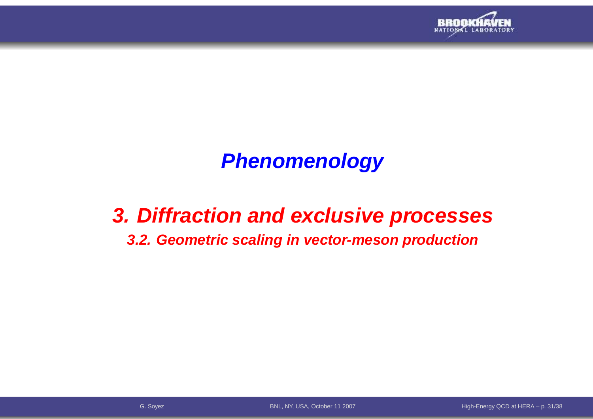

# **Phenomenology**

## **3. Diffraction and exclusive processes**

### **3.2. Geometric scaling in vector-meson production**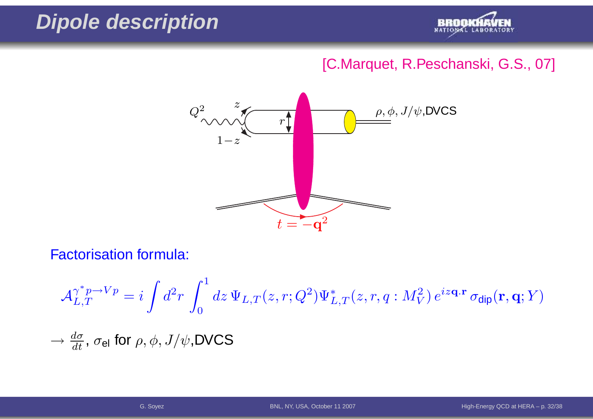# **Dipole description**



### [C.Marquet, R.Peschanski, G.S., 07]



Factorisation formula:

$$
\mathcal{A}_{L,T}^{\gamma^* p \to Vp} = i \int d^2 r \int_0^1 dz \, \Psi_{L,T}(z,r;Q^2) \Psi_{L,T}^*(z,r,q:M_V^2) \, e^{iz\mathbf{q} \cdot \mathbf{r}} \, \sigma_{\text{dip}}(\mathbf{r},\mathbf{q};Y)
$$
  

$$
\to \frac{d\sigma}{dt}, \, \sigma_{\text{el}} \text{ for } \rho, \phi, J/\psi, \text{DVCS}
$$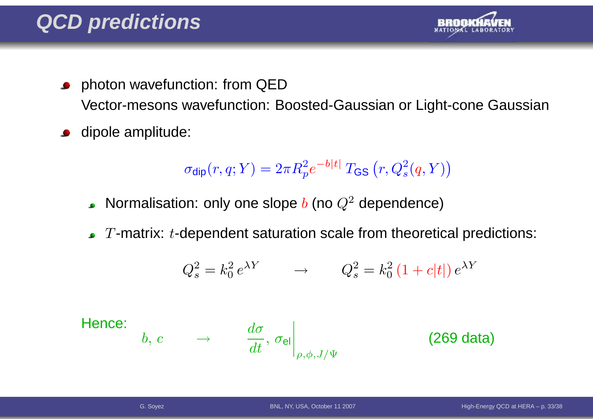

- photon wavefunction: from QED $\bullet$ Vector-mesons wavefunction: Boosted-Gaussian or Light-cone Gaussian
- dipole amplitude:  $\bullet$

$$
\sigma_{\text{dip}}(r, q; Y) = 2\pi R_p^2 e^{-b|t|} T_{\text{GS}}(r, Q_s^2(q, Y))
$$

- Normalisation: only one slope  $b$  (no  $Q^2$  dependence)  $\bullet$
- $T$ -matrix:  $t$ -dependent saturation scale from theoretical predictions:

$$
Q_s^2 = k_0^2 e^{\lambda Y} \qquad \rightarrow \qquad Q_s^2 = k_0^2 \left(1 + c|t|\right) e^{\lambda Y}
$$

Hence:  
\n
$$
b, c \rightarrow \frac{d\sigma}{dt}, \sigma_{el}
$$
\n
$$
\begin{vmatrix}\n\frac{\partial}{\partial t} & \frac{\partial}{\partial t} & \frac{\partial}{\partial t} \\
\frac{\partial}{\partial t} & \frac{\partial}{\partial t} & \frac{\partial}{\partial t}\n\end{vmatrix}
$$
\n(269 data)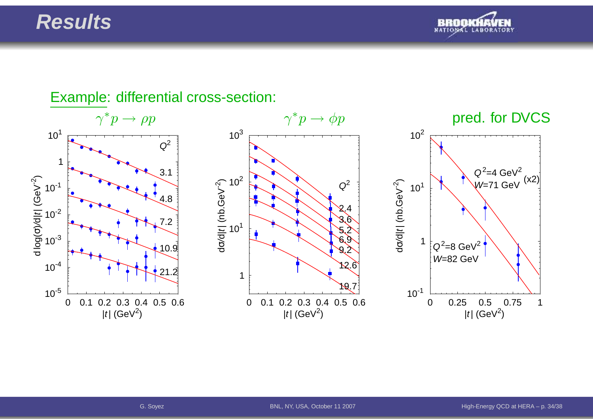### **Results**



### $\gamma^* p \to$  $\gamma^* p \to \phi p$  pred. for DVCS  $10^{-4}$ 10 $^3$ 10 $^{-2}$ 10 $^{\text{-1}}$ 1 $10<sup>1</sup>$  $\frac{1}{\sigma}$  $Q^2$ 3.14.87.210.921.21 $10^{1}$  $10^2$  $10^{3}$ dσ/d| t | (nb.GeV - 2  $\widehat{\mathcal{C}}$  $Q^2$ 2.43.65.26.99.212.6110<sup>1</sup>  $10^2$ dσ/d| t | (nb.GeV - 2 )W=82 GeV

Example: differential cross-section:

0 0.1 0.2 0.3 0.4 0.5 0.6| $t$ | (GeV $^2$ ) 19.7



|t| (GeV<sup>2</sup>)

0 0.1 0.2 0.3 0.4 0.5 0.6| $t$ | (GeV $^2$ )

 $10^{-5}$ 

<sup>σ</sup>)

/d|t| (GeV $^{-2}$ 

 $\widehat{\phantom{a}}$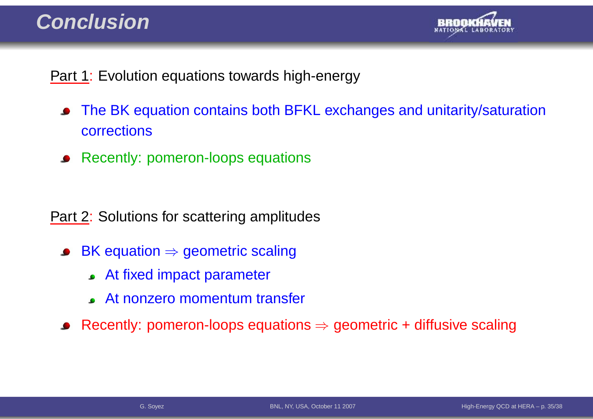### **Conclusion**



Part 1: Evolution equations towards high-energy

- The BK equation contains both BFKL exchanges and unitarity/saturation $\bullet$ corrections
- Recently: pomeron-loops equations

Part 2: Solutions for scattering amplitudes

- BK equation <sup>⇒</sup> geometric scaling  $\bullet$ 
	- At fixed impact parameter
	- At nonzero momentum transfer

Recently: pomeron-loops equations  $\Rightarrow$  geometric + diffusive scaling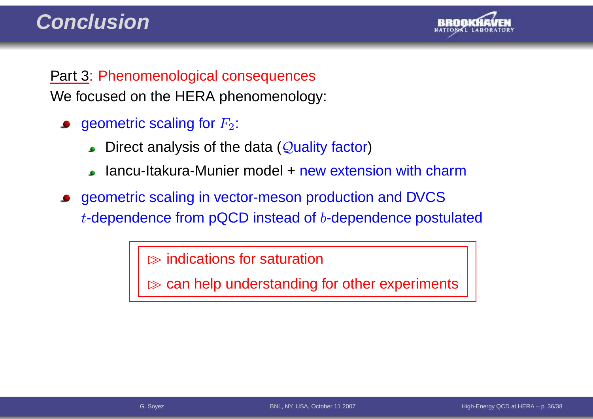

Part 3: Phenomenological consequencesWe focused on the HERA phenomenology:

- geometric scaling for  $F_2\!\!$  :
	- Direct analysis of the data (Quality factor)
	- lancu-Itakura-Munier model + new extension with charm
- geometric scaling in vector-meson production and DVCS $t$ -dependence from pQCD instead of  $b$ -dependence postulated

 $\gg$  indications for saturation

⊲> can help understanding for other experiments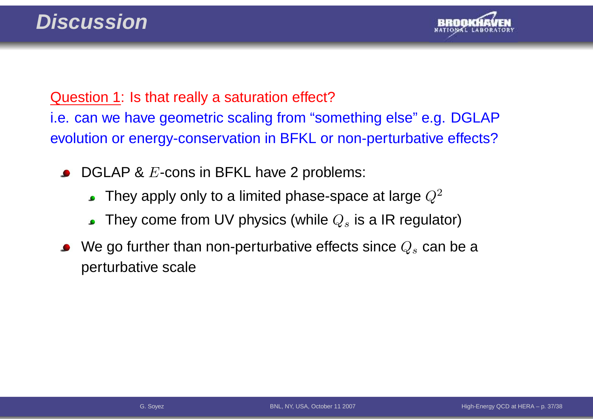

### Question 1: Is that really <sup>a</sup> saturation effect?

i.e. can we have geometric scaling from "something else" e.g. DGLAPevolution or energy-conservation in BFKL or non-perturbative effects?

- $\mathsf{DGLAP}\; \pmb{\&}\; E\text{-cons}$  in  $\mathsf{BFKL}$  have 2 problems:
	- They apply only to a limited phase-space at large  $Q^2$  $\bullet$
	- They come from UV physics (while  $Q_s$  is a IR regulator)
- We go further than non-perturbative effects since  $Q_s$  can be a perturbative scale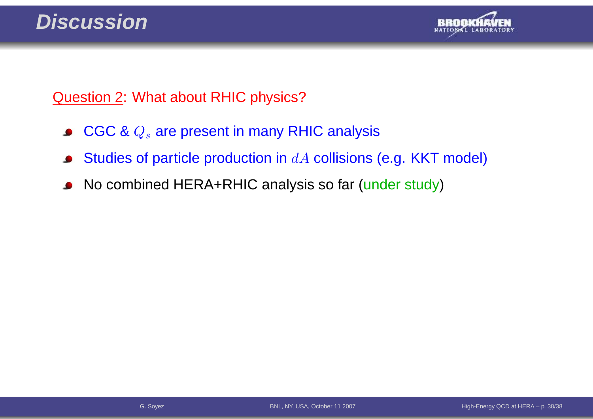

### Question 2: What about RHIC physics?

- $\mathsf{CGC}\ \&\ Q_s$  are present in many RHIC analysis  $\bullet$
- Studies of particle production in  $dA$  collisions (e.g. KKT model)  $\bullet$
- No combined HERA+RHIC analysis so far (under study) $\bullet$